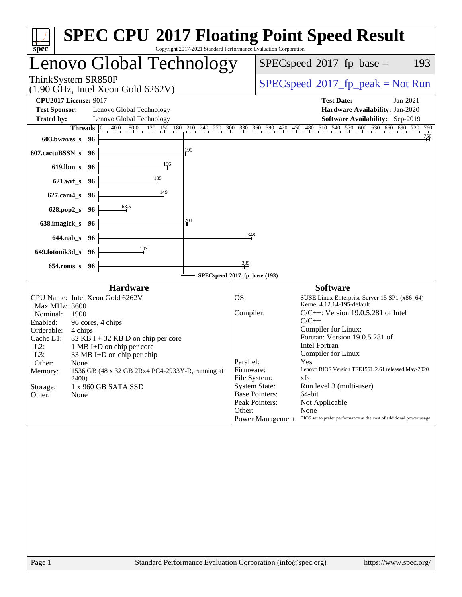| spec <sup>®</sup>                                                                                                                                                                                      |                      | <b>SPEC CPU®2017 Floating Point Speed Result</b>                                                                                                                                                                   | Copyright 2017-2021 Standard Performance Evaluation Corporation |                                                                                              |                                                                     |                                                                                                                                                                                                                                               |                                                                                                                                                                                                                     |                        |
|--------------------------------------------------------------------------------------------------------------------------------------------------------------------------------------------------------|----------------------|--------------------------------------------------------------------------------------------------------------------------------------------------------------------------------------------------------------------|-----------------------------------------------------------------|----------------------------------------------------------------------------------------------|---------------------------------------------------------------------|-----------------------------------------------------------------------------------------------------------------------------------------------------------------------------------------------------------------------------------------------|---------------------------------------------------------------------------------------------------------------------------------------------------------------------------------------------------------------------|------------------------|
|                                                                                                                                                                                                        |                      | Lenovo Global Technology                                                                                                                                                                                           |                                                                 |                                                                                              |                                                                     | $SPEC speed^{\circ}2017$ _fp_base =                                                                                                                                                                                                           |                                                                                                                                                                                                                     | 193                    |
| ThinkSystem SR850P                                                                                                                                                                                     |                      | $(1.90 \text{ GHz}, \text{Intel Xeon Gold } 6262 \text{V})$                                                                                                                                                        |                                                                 |                                                                                              |                                                                     |                                                                                                                                                                                                                                               | $SPEC speed^{\circ}2017\_fp\_peak = Not Run$                                                                                                                                                                        |                        |
| <b>CPU2017 License: 9017</b><br><b>Test Sponsor:</b><br><b>Tested by:</b>                                                                                                                              |                      | Lenovo Global Technology<br>Lenovo Global Technology                                                                                                                                                               |                                                                 |                                                                                              |                                                                     | <b>Test Date:</b>                                                                                                                                                                                                                             | Hardware Availability: Jan-2020<br>Software Availability: Sep-2019                                                                                                                                                  | $Jan-2021$             |
| 603.bwaves s 96                                                                                                                                                                                        | <b>Threads</b> $ 0 $ | 40.0 80.0 120 150 180 210 240 270 300 330 360 390 420 450 480 510 540 570 600 630 660 690 720                                                                                                                      |                                                                 |                                                                                              |                                                                     |                                                                                                                                                                                                                                               |                                                                                                                                                                                                                     | 760<br>$\frac{750}{4}$ |
| 607.cactuBSSN_s                                                                                                                                                                                        | 96                   |                                                                                                                                                                                                                    | 199                                                             |                                                                                              |                                                                     |                                                                                                                                                                                                                                               |                                                                                                                                                                                                                     |                        |
| 619.lbm_s 96                                                                                                                                                                                           |                      | 156                                                                                                                                                                                                                |                                                                 |                                                                                              |                                                                     |                                                                                                                                                                                                                                               |                                                                                                                                                                                                                     |                        |
| $621.wrf$ <sub>S</sub>                                                                                                                                                                                 | - 96                 | 135                                                                                                                                                                                                                |                                                                 |                                                                                              |                                                                     |                                                                                                                                                                                                                                               |                                                                                                                                                                                                                     |                        |
| $627$ .cam $4$ <sub>S</sub>                                                                                                                                                                            | -96                  | 149<br>63.5                                                                                                                                                                                                        |                                                                 |                                                                                              |                                                                     |                                                                                                                                                                                                                                               |                                                                                                                                                                                                                     |                        |
| 628.pop2_s<br>638.imagick_s                                                                                                                                                                            | -96<br>96            |                                                                                                                                                                                                                    | 201                                                             |                                                                                              |                                                                     |                                                                                                                                                                                                                                               |                                                                                                                                                                                                                     |                        |
| $644$ .nab s                                                                                                                                                                                           | -96                  |                                                                                                                                                                                                                    |                                                                 | 348                                                                                          |                                                                     |                                                                                                                                                                                                                                               |                                                                                                                                                                                                                     |                        |
| 649.fotonik3d_s                                                                                                                                                                                        | - 96                 | 103                                                                                                                                                                                                                |                                                                 |                                                                                              |                                                                     |                                                                                                                                                                                                                                               |                                                                                                                                                                                                                     |                        |
| $654$ .roms_s                                                                                                                                                                                          | 96                   |                                                                                                                                                                                                                    |                                                                 | $\frac{335}{11}$                                                                             |                                                                     |                                                                                                                                                                                                                                               |                                                                                                                                                                                                                     |                        |
|                                                                                                                                                                                                        |                      |                                                                                                                                                                                                                    | SPECspeed®2017_fp_base (193)                                    |                                                                                              |                                                                     |                                                                                                                                                                                                                                               |                                                                                                                                                                                                                     |                        |
| CPU Name: Intel Xeon Gold 6262V<br>Max MHz: 3600<br>Nominal:<br>1900<br>Enabled:<br>Orderable:<br>Cache L1:<br>$L2$ :<br>L3:<br>Other:<br>None<br>Memory:<br><b>2400</b><br>Storage:<br>Other:<br>None | 4 chips              | <b>Hardware</b><br>96 cores, 4 chips<br>$32$ KB I + 32 KB D on chip per core<br>1 MB I+D on chip per core<br>33 MB I+D on chip per chip<br>1536 GB (48 x 32 GB 2Rx4 PC4-2933Y-R, running at<br>1 x 960 GB SATA SSD |                                                                 | OS:<br>Compiler:<br>Parallel:<br>Firmware:<br>File System:<br><b>System State:</b><br>Other: | <b>Base Pointers:</b><br>Peak Pointers:<br><b>Power Management:</b> | <b>Software</b><br>Kernel 4.12.14-195-default<br>$C/C++$<br>Compiler for Linux;<br>Fortran: Version 19.0.5.281 of<br><b>Intel Fortran</b><br>Compiler for Linux<br>Yes<br>xfs<br>Run level 3 (multi-user)<br>64-bit<br>Not Applicable<br>None | SUSE Linux Enterprise Server 15 SP1 (x86_64)<br>$C/C++$ : Version 19.0.5.281 of Intel<br>Lenovo BIOS Version TEE156L 2.61 released May-2020<br>BIOS set to prefer performance at the cost of additional power usage |                        |
|                                                                                                                                                                                                        |                      |                                                                                                                                                                                                                    |                                                                 |                                                                                              |                                                                     |                                                                                                                                                                                                                                               |                                                                                                                                                                                                                     |                        |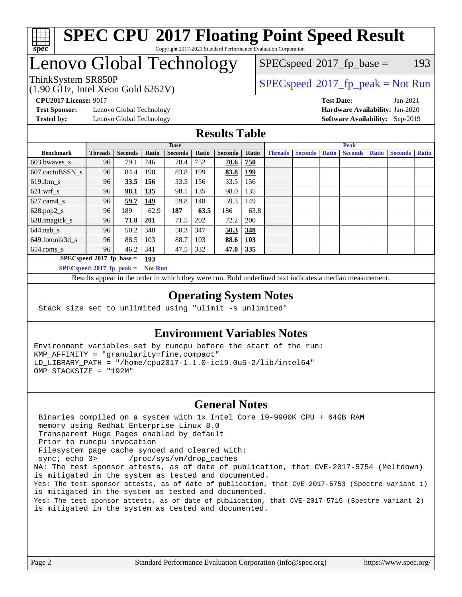

#### **[SPEC CPU](http://www.spec.org/auto/cpu2017/Docs/result-fields.html#SPECCPU2017FloatingPointSpeedResult)[2017 Floating Point Speed Result](http://www.spec.org/auto/cpu2017/Docs/result-fields.html#SPECCPU2017FloatingPointSpeedResult)** Copyright 2017-2021 Standard Performance Evaluation Corporation

## Lenovo Global Technology

 $SPECspeed^{\circledcirc}2017_fp\_base = 193$  $SPECspeed^{\circledcirc}2017_fp\_base = 193$ 

#### (1.90 GHz, Intel Xeon Gold 6262V) ThinkSystem SR850P<br>(1.00 GHz, Intel Year Gold 6262V) [SPECspeed](http://www.spec.org/auto/cpu2017/Docs/result-fields.html#SPECspeed2017fppeak)®[2017\\_fp\\_peak = N](http://www.spec.org/auto/cpu2017/Docs/result-fields.html#SPECspeed2017fppeak)ot Run

**[Test Sponsor:](http://www.spec.org/auto/cpu2017/Docs/result-fields.html#TestSponsor)** Lenovo Global Technology **[Hardware Availability:](http://www.spec.org/auto/cpu2017/Docs/result-fields.html#HardwareAvailability)** Jan-2020 **[Tested by:](http://www.spec.org/auto/cpu2017/Docs/result-fields.html#Testedby)** Lenovo Global Technology **[Software Availability:](http://www.spec.org/auto/cpu2017/Docs/result-fields.html#SoftwareAvailability)** Sep-2019

**[CPU2017 License:](http://www.spec.org/auto/cpu2017/Docs/result-fields.html#CPU2017License)** 9017 **[Test Date:](http://www.spec.org/auto/cpu2017/Docs/result-fields.html#TestDate)** Jan-2021

### **[Results Table](http://www.spec.org/auto/cpu2017/Docs/result-fields.html#ResultsTable)**

|                             | <b>Base</b>    |                |                |                |       | <b>Peak</b>    |            |                |                |              |                |              |                |              |
|-----------------------------|----------------|----------------|----------------|----------------|-------|----------------|------------|----------------|----------------|--------------|----------------|--------------|----------------|--------------|
| <b>Benchmark</b>            | <b>Threads</b> | <b>Seconds</b> | Ratio          | <b>Seconds</b> | Ratio | <b>Seconds</b> | Ratio      | <b>Threads</b> | <b>Seconds</b> | <b>Ratio</b> | <b>Seconds</b> | <b>Ratio</b> | <b>Seconds</b> | <b>Ratio</b> |
| 603.bwayes s                | 96             | 79.1           | 746            | 78.4           | 752   | 78.6           | 750        |                |                |              |                |              |                |              |
| 607.cactuBSSN s             | 96             | 84.4           | 198            | 83.8           | 199   | 83.8           | <u>199</u> |                |                |              |                |              |                |              |
| $619.$ lbm_s                | 96             | 33.5           | 156            | 33.5           | 156   | 33.5           | 156        |                |                |              |                |              |                |              |
| $621.wrf$ s                 | 96             | 98.1           | 135            | 98.1           | 135   | 98.0           | 135        |                |                |              |                |              |                |              |
| $627$ .cam $4$ <sub>s</sub> | 96             | 59.7           | 149            | 59.8           | 148   | 59.3           | 149        |                |                |              |                |              |                |              |
| $628.pop2_s$                | 96             | 189            | 62.9           | 187            | 63.5  | 186            | 63.8       |                |                |              |                |              |                |              |
| 638.imagick_s               | 96             | 71.8           | 201            | 71.5           | 202   | 72.2           | 200        |                |                |              |                |              |                |              |
| $644$ .nab s                | 96             | 50.2           | 348            | 50.3           | 347   | 50.3           | 348        |                |                |              |                |              |                |              |
| 649.fotonik3d_s             | 96             | 88.5           | 103            | 88.7           | 103   | 88.6           | <b>103</b> |                |                |              |                |              |                |              |
| $654$ .roms s               | 96             | 46.2           | 341            | 47.5           | 332   | 47.0           | 335        |                |                |              |                |              |                |              |
| $SPECspeed*2017_fp\_base =$ |                |                | 193            |                |       |                |            |                |                |              |                |              |                |              |
| $SPECspeed*2017_fp\_peak =$ |                |                | <b>Not Run</b> |                |       |                |            |                |                |              |                |              |                |              |

Results appear in the [order in which they were run.](http://www.spec.org/auto/cpu2017/Docs/result-fields.html#RunOrder) Bold underlined text [indicates a median measurement](http://www.spec.org/auto/cpu2017/Docs/result-fields.html#Median).

#### **[Operating System Notes](http://www.spec.org/auto/cpu2017/Docs/result-fields.html#OperatingSystemNotes)**

Stack size set to unlimited using "ulimit -s unlimited"

#### **[Environment Variables Notes](http://www.spec.org/auto/cpu2017/Docs/result-fields.html#EnvironmentVariablesNotes)**

Environment variables set by runcpu before the start of the run: KMP\_AFFINITY = "granularity=fine,compact" LD\_LIBRARY\_PATH = "/home/cpu2017-1.1.0-ic19.0u5-2/lib/intel64" OMP\_STACKSIZE = "192M"

#### **[General Notes](http://www.spec.org/auto/cpu2017/Docs/result-fields.html#GeneralNotes)**

 Binaries compiled on a system with 1x Intel Core i9-9900K CPU + 64GB RAM memory using Redhat Enterprise Linux 8.0 Transparent Huge Pages enabled by default Prior to runcpu invocation Filesystem page cache synced and cleared with: sync; echo 3> /proc/sys/vm/drop\_caches NA: The test sponsor attests, as of date of publication, that CVE-2017-5754 (Meltdown) is mitigated in the system as tested and documented. Yes: The test sponsor attests, as of date of publication, that CVE-2017-5753 (Spectre variant 1) is mitigated in the system as tested and documented. Yes: The test sponsor attests, as of date of publication, that CVE-2017-5715 (Spectre variant 2) is mitigated in the system as tested and documented.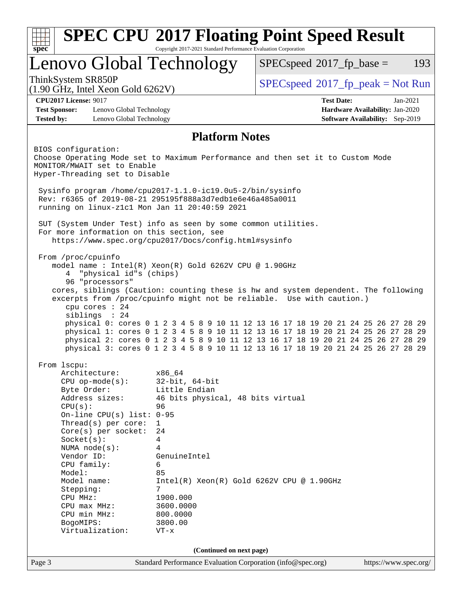| Copyright 2017-2021 Standard Performance Evaluation Corporation<br>spec              |                                                                                                                                                                           |                                                                                                                                                                        |  |  |  |
|--------------------------------------------------------------------------------------|---------------------------------------------------------------------------------------------------------------------------------------------------------------------------|------------------------------------------------------------------------------------------------------------------------------------------------------------------------|--|--|--|
|                                                                                      | Lenovo Global Technology                                                                                                                                                  | $SPEC speed^{\circ}2017$ _fp_base =<br>193                                                                                                                             |  |  |  |
| ThinkSystem SR850P<br>$(1.90 \text{ GHz}, \text{Intel Xeon Gold } 6262 \text{V})$    |                                                                                                                                                                           | $SPEC speed^{\circ}2017\_fp\_peak = Not Run$                                                                                                                           |  |  |  |
| <b>CPU2017 License: 9017</b>                                                         |                                                                                                                                                                           | <b>Test Date:</b><br>$Jan-2021$                                                                                                                                        |  |  |  |
| <b>Test Sponsor:</b>                                                                 | Lenovo Global Technology                                                                                                                                                  | Hardware Availability: Jan-2020                                                                                                                                        |  |  |  |
| <b>Tested by:</b>                                                                    | Lenovo Global Technology                                                                                                                                                  | Software Availability: Sep-2019                                                                                                                                        |  |  |  |
|                                                                                      |                                                                                                                                                                           | <b>Platform Notes</b>                                                                                                                                                  |  |  |  |
| BIOS configuration:<br>MONITOR/MWAIT set to Enable<br>Hyper-Threading set to Disable |                                                                                                                                                                           | Choose Operating Mode set to Maximum Performance and then set it to Custom Mode                                                                                        |  |  |  |
|                                                                                      |                                                                                                                                                                           |                                                                                                                                                                        |  |  |  |
|                                                                                      | Sysinfo program /home/cpu2017-1.1.0-ic19.0u5-2/bin/sysinfo<br>Rev: r6365 of 2019-08-21 295195f888a3d7edble6e46a485a0011<br>running on linux-z1c1 Mon Jan 11 20:40:59 2021 |                                                                                                                                                                        |  |  |  |
|                                                                                      | SUT (System Under Test) info as seen by some common utilities.                                                                                                            |                                                                                                                                                                        |  |  |  |
|                                                                                      | For more information on this section, see                                                                                                                                 |                                                                                                                                                                        |  |  |  |
|                                                                                      | https://www.spec.org/cpu2017/Docs/config.html#sysinfo                                                                                                                     |                                                                                                                                                                        |  |  |  |
| From /proc/cpuinfo                                                                   |                                                                                                                                                                           |                                                                                                                                                                        |  |  |  |
|                                                                                      | model name: $Intel(R)$ Xeon $(R)$ Gold 6262V CPU @ 1.90GHz                                                                                                                |                                                                                                                                                                        |  |  |  |
| 4                                                                                    | "physical id"s (chips)                                                                                                                                                    |                                                                                                                                                                        |  |  |  |
| 96 "processors"                                                                      |                                                                                                                                                                           | cores, siblings (Caution: counting these is hw and system dependent. The following                                                                                     |  |  |  |
|                                                                                      |                                                                                                                                                                           | excerpts from /proc/cpuinfo might not be reliable. Use with caution.)                                                                                                  |  |  |  |
| cpu cores : 24                                                                       |                                                                                                                                                                           |                                                                                                                                                                        |  |  |  |
| siblings : 24                                                                        |                                                                                                                                                                           |                                                                                                                                                                        |  |  |  |
|                                                                                      |                                                                                                                                                                           | physical 0: cores 0 1 2 3 4 5 8 9 10 11 12 13 16 17 18 19 20 21 24 25 26 27 28 29                                                                                      |  |  |  |
|                                                                                      |                                                                                                                                                                           | physical 1: cores 0 1 2 3 4 5 8 9 10 11 12 13 16 17 18 19 20 21 24 25 26 27 28 29                                                                                      |  |  |  |
|                                                                                      |                                                                                                                                                                           | physical 2: cores 0 1 2 3 4 5 8 9 10 11 12 13 16 17 18 19 20 21 24 25 26 27 28 29<br>physical 3: cores 0 1 2 3 4 5 8 9 10 11 12 13 16 17 18 19 20 21 24 25 26 27 28 29 |  |  |  |
|                                                                                      |                                                                                                                                                                           |                                                                                                                                                                        |  |  |  |
| From 1scpu:                                                                          |                                                                                                                                                                           |                                                                                                                                                                        |  |  |  |
| Architecture:                                                                        | x86_64                                                                                                                                                                    |                                                                                                                                                                        |  |  |  |
| $CPU$ op-mode( $s$ ):                                                                | $32$ -bit, $64$ -bit                                                                                                                                                      |                                                                                                                                                                        |  |  |  |
| Byte Order:<br>Address sizes:                                                        | Little Endian                                                                                                                                                             | 46 bits physical, 48 bits virtual                                                                                                                                      |  |  |  |
| CPU(s):                                                                              | 96                                                                                                                                                                        |                                                                                                                                                                        |  |  |  |
|                                                                                      | On-line CPU(s) list: $0-95$                                                                                                                                               |                                                                                                                                                                        |  |  |  |
| Thread( $s$ ) per core:                                                              | $\mathbf{1}$                                                                                                                                                              |                                                                                                                                                                        |  |  |  |
| $Core(s)$ per socket:                                                                | 24                                                                                                                                                                        |                                                                                                                                                                        |  |  |  |
| Socket(s):                                                                           | 4                                                                                                                                                                         |                                                                                                                                                                        |  |  |  |
| NUMA $node(s):$<br>Vendor ID:                                                        | 4<br>GenuineIntel                                                                                                                                                         |                                                                                                                                                                        |  |  |  |
| CPU family:                                                                          | 6                                                                                                                                                                         |                                                                                                                                                                        |  |  |  |
| Model:                                                                               | 85                                                                                                                                                                        |                                                                                                                                                                        |  |  |  |
| Model name:                                                                          |                                                                                                                                                                           | $Intel(R) Xeon(R) Gold 6262V CPU @ 1.90GHz$                                                                                                                            |  |  |  |
| Stepping:                                                                            | 7                                                                                                                                                                         |                                                                                                                                                                        |  |  |  |
| CPU MHz:                                                                             | 1900.000                                                                                                                                                                  |                                                                                                                                                                        |  |  |  |
| $CPU$ max $MHz$ :<br>CPU min MHz:                                                    | 3600.0000<br>800.0000                                                                                                                                                     |                                                                                                                                                                        |  |  |  |
| BogoMIPS:                                                                            | 3800.00                                                                                                                                                                   |                                                                                                                                                                        |  |  |  |
| Virtualization:                                                                      | $VT - x$                                                                                                                                                                  |                                                                                                                                                                        |  |  |  |
|                                                                                      |                                                                                                                                                                           |                                                                                                                                                                        |  |  |  |
|                                                                                      |                                                                                                                                                                           |                                                                                                                                                                        |  |  |  |
| Page 3                                                                               |                                                                                                                                                                           | (Continued on next page)<br>Standard Performance Evaluation Corporation (info@spec.org)<br>https://www.spec.org/                                                       |  |  |  |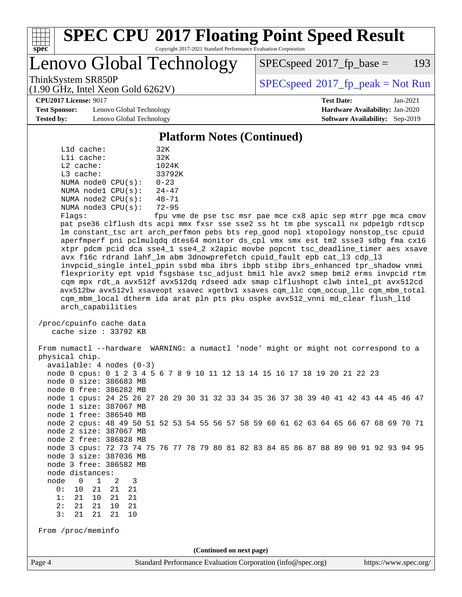

# **[SPEC CPU](http://www.spec.org/auto/cpu2017/Docs/result-fields.html#SPECCPU2017FloatingPointSpeedResult)[2017 Floating Point Speed Result](http://www.spec.org/auto/cpu2017/Docs/result-fields.html#SPECCPU2017FloatingPointSpeedResult)**

Copyright 2017-2021 Standard Performance Evaluation Corporation

Lenovo Global Technology

 $SPEC speed^{\circ}2017$  fp base = 193

ThinkSystem SR850P<br>  $(1.00 \text{ GHz. Intel Yes} \text{ }^{36} \text{ }^{36} \text{ }^{36} \text{ }^{37} \text{ }^{38} \text{)}$  [SPECspeed](http://www.spec.org/auto/cpu2017/Docs/result-fields.html#SPECspeed2017fppeak)®[2017\\_fp\\_peak = N](http://www.spec.org/auto/cpu2017/Docs/result-fields.html#SPECspeed2017fppeak)ot Run

**[Test Sponsor:](http://www.spec.org/auto/cpu2017/Docs/result-fields.html#TestSponsor)** Lenovo Global Technology **[Hardware Availability:](http://www.spec.org/auto/cpu2017/Docs/result-fields.html#HardwareAvailability)** Jan-2020 **[Tested by:](http://www.spec.org/auto/cpu2017/Docs/result-fields.html#Testedby)** Lenovo Global Technology **[Software Availability:](http://www.spec.org/auto/cpu2017/Docs/result-fields.html#SoftwareAvailability)** Sep-2019

(1.90 GHz, Intel Xeon Gold 6262V)

**[CPU2017 License:](http://www.spec.org/auto/cpu2017/Docs/result-fields.html#CPU2017License)** 9017 **[Test Date:](http://www.spec.org/auto/cpu2017/Docs/result-fields.html#TestDate)** Jan-2021

#### **[Platform Notes \(Continued\)](http://www.spec.org/auto/cpu2017/Docs/result-fields.html#PlatformNotes)**

| L1d cache:  |                         | 32K       |
|-------------|-------------------------|-----------|
| Lli cache:  |                         | 32K       |
| $L2$ cache: |                         | 1024K     |
| $L3$ cache: |                         | 33792K    |
|             | NUMA node0 CPU(s):      | $0 - 23$  |
|             | NUMA nodel CPU(s):      | $24 - 47$ |
|             | NUMA $node2$ $CPU(s)$ : | $48 - 71$ |
|             | NUMA $node3$ $CPU(s)$ : | $72 - 95$ |
|             |                         |           |

Flags: fpu vme de pse tsc msr pae mce cx8 apic sep mtrr pge mca cmov pat pse36 clflush dts acpi mmx fxsr sse sse2 ss ht tm pbe syscall nx pdpe1gb rdtscp lm constant\_tsc art arch\_perfmon pebs bts rep\_good nopl xtopology nonstop\_tsc cpuid aperfmperf pni pclmulqdq dtes64 monitor ds\_cpl vmx smx est tm2 ssse3 sdbg fma cx16 xtpr pdcm pcid dca sse4\_1 sse4\_2 x2apic movbe popcnt tsc\_deadline\_timer aes xsave avx f16c rdrand lahf\_lm abm 3dnowprefetch cpuid\_fault epb cat\_l3 cdp\_l3 invpcid\_single intel\_ppin ssbd mba ibrs ibpb stibp ibrs\_enhanced tpr\_shadow vnmi flexpriority ept vpid fsgsbase tsc\_adjust bmi1 hle avx2 smep bmi2 erms invpcid rtm cqm mpx rdt\_a avx512f avx512dq rdseed adx smap clflushopt clwb intel\_pt avx512cd avx512bw avx512vl xsaveopt xsavec xgetbv1 xsaves cqm\_llc cqm\_occup\_llc cqm\_mbm\_total cqm\_mbm\_local dtherm ida arat pln pts pku ospke avx512\_vnni md\_clear flush\_l1d arch\_capabilities

 /proc/cpuinfo cache data cache size : 33792 KB

 From numactl --hardware WARNING: a numactl 'node' might or might not correspond to a physical chip. available: 4 nodes (0-3) node 0 cpus: 0 1 2 3 4 5 6 7 8 9 10 11 12 13 14 15 16 17 18 19 20 21 22 23 node 0 size: 386683 MB node 0 free: 386282 MB node 1 cpus: 24 25 26 27 28 29 30 31 32 33 34 35 36 37 38 39 40 41 42 43 44 45 46 47 node 1 size: 387067 MB node 1 free: 386540 MB node 2 cpus: 48 49 50 51 52 53 54 55 56 57 58 59 60 61 62 63 64 65 66 67 68 69 70 71 node 2 size: 387067 MB node 2 free: 386828 MB node 3 cpus: 72 73 74 75 76 77 78 79 80 81 82 83 84 85 86 87 88 89 90 91 92 93 94 95 node 3 size: 387036 MB node 3 free: 386582 MB node distances: node 0 1 2 3 0: 10 21 21 21 1: 21 10 21 21 2: 21 21 10 21 3: 21 21 21 10 From /proc/meminfo **(Continued on next page)**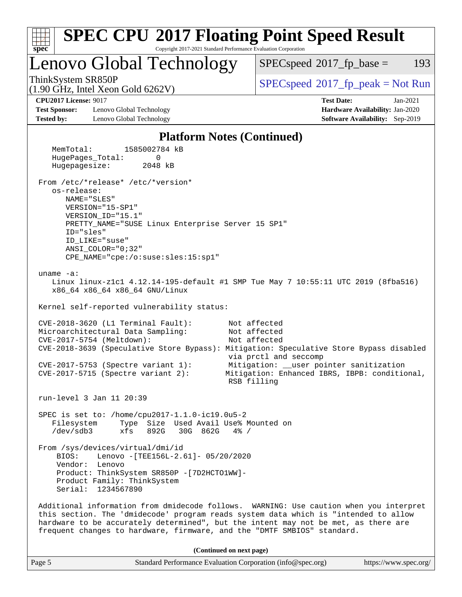| <b>SPEC CPU®2017 Floating Point Speed Result</b><br>Copyright 2017-2021 Standard Performance Evaluation Corporation<br>$spec^*$                                                                                                                                                                                                                |                                                                                                                                                                   |  |  |  |  |  |  |
|------------------------------------------------------------------------------------------------------------------------------------------------------------------------------------------------------------------------------------------------------------------------------------------------------------------------------------------------|-------------------------------------------------------------------------------------------------------------------------------------------------------------------|--|--|--|--|--|--|
| Lenovo Global Technology                                                                                                                                                                                                                                                                                                                       | 193<br>$SPEC speed^{\circ}2017$ fp base =                                                                                                                         |  |  |  |  |  |  |
| ThinkSystem SR850P<br>$(1.90 \text{ GHz}, \text{Intel Xeon Gold } 6262 \text{V})$                                                                                                                                                                                                                                                              | $SPEC speed$ <sup>®</sup> 2017_fp_peak = Not Run                                                                                                                  |  |  |  |  |  |  |
| <b>CPU2017 License: 9017</b><br><b>Test Sponsor:</b><br>Lenovo Global Technology<br><b>Tested by:</b><br>Lenovo Global Technology                                                                                                                                                                                                              | <b>Test Date:</b><br>$Jan-2021$<br>Hardware Availability: Jan-2020<br>Software Availability: Sep-2019                                                             |  |  |  |  |  |  |
| <b>Platform Notes (Continued)</b>                                                                                                                                                                                                                                                                                                              |                                                                                                                                                                   |  |  |  |  |  |  |
| MemTotal:<br>1585002784 kB<br>HugePages_Total:<br>0<br>Hugepagesize:<br>2048 kB<br>From /etc/*release* /etc/*version*                                                                                                                                                                                                                          |                                                                                                                                                                   |  |  |  |  |  |  |
| os-release:<br>NAME="SLES"<br>VERSION="15-SP1"<br>VERSION_ID="15.1"<br>PRETTY_NAME="SUSE Linux Enterprise Server 15 SP1"<br>ID="sles"<br>ID LIKE="suse"<br>$ANSI\_COLOR = "0:32"$<br>CPE_NAME="cpe:/o:suse:sles:15:sp1"                                                                                                                        |                                                                                                                                                                   |  |  |  |  |  |  |
| uname $-a$ :<br>Linux linux-z1c1 4.12.14-195-default #1 SMP Tue May 7 10:55:11 UTC 2019 (8fba516)<br>x86_64 x86_64 x86_64 GNU/Linux<br>Kernel self-reported vulnerability status:                                                                                                                                                              |                                                                                                                                                                   |  |  |  |  |  |  |
| $CVE-2018-3620$ (L1 Terminal Fault):<br>Microarchitectural Data Sampling:<br>CVE-2017-5754 (Meltdown):<br>CVE-2018-3639 (Speculative Store Bypass): Mitigation: Speculative Store Bypass disabled<br>$CVE-2017-5753$ (Spectre variant 1):<br>$CVE-2017-5715$ (Spectre variant 2):                                                              | Not affected<br>Not affected<br>Not affected<br>via prctl and seccomp<br>Mitigation: __user pointer sanitization<br>Mitigation: Enhanced IBRS, IBPB: conditional, |  |  |  |  |  |  |
|                                                                                                                                                                                                                                                                                                                                                | RSB filling                                                                                                                                                       |  |  |  |  |  |  |
| run-level 3 Jan 11 20:39<br>SPEC is set to: /home/cpu2017-1.1.0-ic19.0u5-2<br>Type Size Used Avail Use% Mounted on<br>Filesystem<br>/dev/sdb3<br>892G<br>30G 862G<br>xfs<br>$4\%$ /                                                                                                                                                            |                                                                                                                                                                   |  |  |  |  |  |  |
| From /sys/devices/virtual/dmi/id<br>Lenovo -[TEE156L-2.61]- 05/20/2020<br>BIOS:<br>Vendor: Lenovo<br>Product: ThinkSystem SR850P - [7D2HCTO1WW]-<br>Product Family: ThinkSystem<br>Serial: 1234567890                                                                                                                                          |                                                                                                                                                                   |  |  |  |  |  |  |
| Additional information from dmidecode follows. WARNING: Use caution when you interpret<br>this section. The 'dmidecode' program reads system data which is "intended to allow<br>hardware to be accurately determined", but the intent may not be met, as there are<br>frequent changes to hardware, firmware, and the "DMTF SMBIOS" standard. |                                                                                                                                                                   |  |  |  |  |  |  |
| (Continued on next page)                                                                                                                                                                                                                                                                                                                       |                                                                                                                                                                   |  |  |  |  |  |  |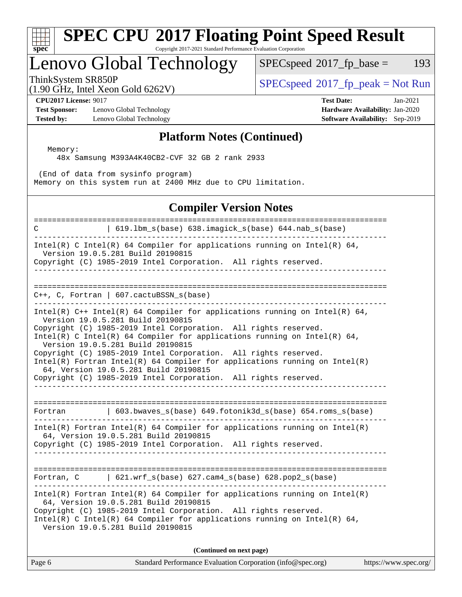#### **[spec](http://www.spec.org/) [SPEC CPU](http://www.spec.org/auto/cpu2017/Docs/result-fields.html#SPECCPU2017FloatingPointSpeedResult)[2017 Floating Point Speed Result](http://www.spec.org/auto/cpu2017/Docs/result-fields.html#SPECCPU2017FloatingPointSpeedResult)** Copyright 2017-2021 Standard Performance Evaluation Corporation Lenovo Global Technology  $SPECspeed^{\circ}2017\_fp\_base = 193$  $SPECspeed^{\circ}2017\_fp\_base = 193$

ThinkSystem SR850P<br>(1.00 CHz, Intel Year Gald 6262V) [SPECspeed](http://www.spec.org/auto/cpu2017/Docs/result-fields.html#SPECspeed2017fppeak)®[2017\\_fp\\_peak = N](http://www.spec.org/auto/cpu2017/Docs/result-fields.html#SPECspeed2017fppeak)ot Run

(1.90 GHz, Intel Xeon Gold 6262V)

**[Test Sponsor:](http://www.spec.org/auto/cpu2017/Docs/result-fields.html#TestSponsor)** Lenovo Global Technology **[Hardware Availability:](http://www.spec.org/auto/cpu2017/Docs/result-fields.html#HardwareAvailability)** Jan-2020 **[Tested by:](http://www.spec.org/auto/cpu2017/Docs/result-fields.html#Testedby)** Lenovo Global Technology **[Software Availability:](http://www.spec.org/auto/cpu2017/Docs/result-fields.html#SoftwareAvailability)** Sep-2019

**[CPU2017 License:](http://www.spec.org/auto/cpu2017/Docs/result-fields.html#CPU2017License)** 9017 **[Test Date:](http://www.spec.org/auto/cpu2017/Docs/result-fields.html#TestDate)** Jan-2021

### **[Platform Notes \(Continued\)](http://www.spec.org/auto/cpu2017/Docs/result-fields.html#PlatformNotes)**

 Memory: 48x Samsung M393A4K40CB2-CVF 32 GB 2 rank 2933

 (End of data from sysinfo program) Memory on this system run at 2400 MHz due to CPU limitation.

### **[Compiler Version Notes](http://www.spec.org/auto/cpu2017/Docs/result-fields.html#CompilerVersionNotes)**

============================================================================== C | 619.lbm\_s(base) 638.imagick\_s(base) 644.nab\_s(base) ------------------------------------------------------------------------------ Intel(R) C Intel(R) 64 Compiler for applications running on Intel(R) 64, Version 19.0.5.281 Build 20190815 Copyright (C) 1985-2019 Intel Corporation. All rights reserved. ------------------------------------------------------------------------------ ============================================================================== C++, C, Fortran | 607.cactuBSSN\_s(base) ------------------------------------------------------------------------------ Intel(R)  $C++$  Intel(R) 64 Compiler for applications running on Intel(R) 64, Version 19.0.5.281 Build 20190815 Copyright (C) 1985-2019 Intel Corporation. All rights reserved. Intel(R) C Intel(R) 64 Compiler for applications running on Intel(R)  $64$ , Version 19.0.5.281 Build 20190815 Copyright (C) 1985-2019 Intel Corporation. All rights reserved. Intel(R) Fortran Intel(R) 64 Compiler for applications running on Intel(R) 64, Version 19.0.5.281 Build 20190815 Copyright (C) 1985-2019 Intel Corporation. All rights reserved. ------------------------------------------------------------------------------ ============================================================================== Fortran | 603.bwaves\_s(base) 649.fotonik3d\_s(base) 654.roms\_s(base) ------------------------------------------------------------------------------ Intel(R) Fortran Intel(R) 64 Compiler for applications running on Intel(R) 64, Version 19.0.5.281 Build 20190815 Copyright (C) 1985-2019 Intel Corporation. All rights reserved. ------------------------------------------------------------------------------ ============================================================================== Fortran, C | 621.wrf\_s(base) 627.cam4\_s(base) 628.pop2\_s(base) ------------------------------------------------------------------------------ Intel(R) Fortran Intel(R) 64 Compiler for applications running on Intel(R) 64, Version 19.0.5.281 Build 20190815 Copyright (C) 1985-2019 Intel Corporation. All rights reserved. Intel(R) C Intel(R) 64 Compiler for applications running on Intel(R)  $64$ , Version 19.0.5.281 Build 20190815 **(Continued on next page)**

Page 6 Standard Performance Evaluation Corporation [\(info@spec.org\)](mailto:info@spec.org) <https://www.spec.org/>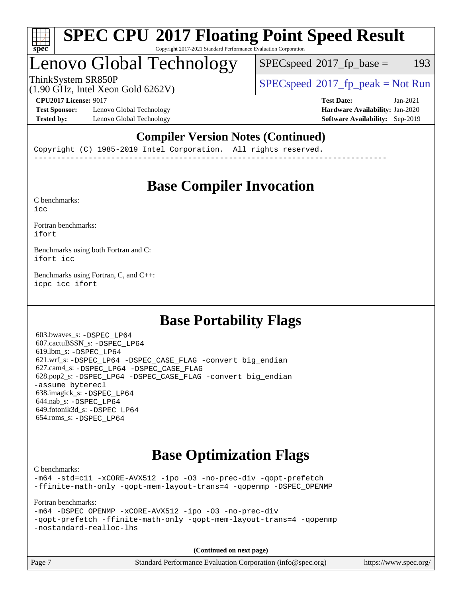

#### **[SPEC CPU](http://www.spec.org/auto/cpu2017/Docs/result-fields.html#SPECCPU2017FloatingPointSpeedResult)[2017 Floating Point Speed Result](http://www.spec.org/auto/cpu2017/Docs/result-fields.html#SPECCPU2017FloatingPointSpeedResult)** Copyright 2017-2021 Standard Performance Evaluation Corporation

## Lenovo Global Technology

 $SPEC speed^{\circ}2017\_fp\_base = 193$ 

(1.90 GHz, Intel Xeon Gold 6262V)

ThinkSystem SR850P<br>(1.00 CHz, Intel Year Cald 6262V) [SPECspeed](http://www.spec.org/auto/cpu2017/Docs/result-fields.html#SPECspeed2017fppeak)<sup>®</sup>[2017\\_fp\\_peak = N](http://www.spec.org/auto/cpu2017/Docs/result-fields.html#SPECspeed2017fppeak)ot Run

**[Test Sponsor:](http://www.spec.org/auto/cpu2017/Docs/result-fields.html#TestSponsor)** Lenovo Global Technology **[Hardware Availability:](http://www.spec.org/auto/cpu2017/Docs/result-fields.html#HardwareAvailability)** Jan-2020 **[Tested by:](http://www.spec.org/auto/cpu2017/Docs/result-fields.html#Testedby)** Lenovo Global Technology **[Software Availability:](http://www.spec.org/auto/cpu2017/Docs/result-fields.html#SoftwareAvailability)** Sep-2019

**[CPU2017 License:](http://www.spec.org/auto/cpu2017/Docs/result-fields.html#CPU2017License)** 9017 **[Test Date:](http://www.spec.org/auto/cpu2017/Docs/result-fields.html#TestDate)** Jan-2021

### **[Compiler Version Notes \(Continued\)](http://www.spec.org/auto/cpu2017/Docs/result-fields.html#CompilerVersionNotes)**

Copyright (C) 1985-2019 Intel Corporation. All rights reserved. ------------------------------------------------------------------------------

## **[Base Compiler Invocation](http://www.spec.org/auto/cpu2017/Docs/result-fields.html#BaseCompilerInvocation)**

[C benchmarks](http://www.spec.org/auto/cpu2017/Docs/result-fields.html#Cbenchmarks): [icc](http://www.spec.org/cpu2017/results/res2021q1/cpu2017-20210118-24837.flags.html#user_CCbase_intel_icc_66fc1ee009f7361af1fbd72ca7dcefbb700085f36577c54f309893dd4ec40d12360134090235512931783d35fd58c0460139e722d5067c5574d8eaf2b3e37e92)

[Fortran benchmarks](http://www.spec.org/auto/cpu2017/Docs/result-fields.html#Fortranbenchmarks): [ifort](http://www.spec.org/cpu2017/results/res2021q1/cpu2017-20210118-24837.flags.html#user_FCbase_intel_ifort_8111460550e3ca792625aed983ce982f94888b8b503583aa7ba2b8303487b4d8a21a13e7191a45c5fd58ff318f48f9492884d4413fa793fd88dd292cad7027ca)

[Benchmarks using both Fortran and C](http://www.spec.org/auto/cpu2017/Docs/result-fields.html#BenchmarksusingbothFortranandC): [ifort](http://www.spec.org/cpu2017/results/res2021q1/cpu2017-20210118-24837.flags.html#user_CC_FCbase_intel_ifort_8111460550e3ca792625aed983ce982f94888b8b503583aa7ba2b8303487b4d8a21a13e7191a45c5fd58ff318f48f9492884d4413fa793fd88dd292cad7027ca) [icc](http://www.spec.org/cpu2017/results/res2021q1/cpu2017-20210118-24837.flags.html#user_CC_FCbase_intel_icc_66fc1ee009f7361af1fbd72ca7dcefbb700085f36577c54f309893dd4ec40d12360134090235512931783d35fd58c0460139e722d5067c5574d8eaf2b3e37e92)

[Benchmarks using Fortran, C, and C++:](http://www.spec.org/auto/cpu2017/Docs/result-fields.html#BenchmarksusingFortranCandCXX) [icpc](http://www.spec.org/cpu2017/results/res2021q1/cpu2017-20210118-24837.flags.html#user_CC_CXX_FCbase_intel_icpc_c510b6838c7f56d33e37e94d029a35b4a7bccf4766a728ee175e80a419847e808290a9b78be685c44ab727ea267ec2f070ec5dc83b407c0218cded6866a35d07) [icc](http://www.spec.org/cpu2017/results/res2021q1/cpu2017-20210118-24837.flags.html#user_CC_CXX_FCbase_intel_icc_66fc1ee009f7361af1fbd72ca7dcefbb700085f36577c54f309893dd4ec40d12360134090235512931783d35fd58c0460139e722d5067c5574d8eaf2b3e37e92) [ifort](http://www.spec.org/cpu2017/results/res2021q1/cpu2017-20210118-24837.flags.html#user_CC_CXX_FCbase_intel_ifort_8111460550e3ca792625aed983ce982f94888b8b503583aa7ba2b8303487b4d8a21a13e7191a45c5fd58ff318f48f9492884d4413fa793fd88dd292cad7027ca)

## **[Base Portability Flags](http://www.spec.org/auto/cpu2017/Docs/result-fields.html#BasePortabilityFlags)**

 603.bwaves\_s: [-DSPEC\\_LP64](http://www.spec.org/cpu2017/results/res2021q1/cpu2017-20210118-24837.flags.html#suite_basePORTABILITY603_bwaves_s_DSPEC_LP64) 607.cactuBSSN\_s: [-DSPEC\\_LP64](http://www.spec.org/cpu2017/results/res2021q1/cpu2017-20210118-24837.flags.html#suite_basePORTABILITY607_cactuBSSN_s_DSPEC_LP64) 619.lbm\_s: [-DSPEC\\_LP64](http://www.spec.org/cpu2017/results/res2021q1/cpu2017-20210118-24837.flags.html#suite_basePORTABILITY619_lbm_s_DSPEC_LP64) 621.wrf\_s: [-DSPEC\\_LP64](http://www.spec.org/cpu2017/results/res2021q1/cpu2017-20210118-24837.flags.html#suite_basePORTABILITY621_wrf_s_DSPEC_LP64) [-DSPEC\\_CASE\\_FLAG](http://www.spec.org/cpu2017/results/res2021q1/cpu2017-20210118-24837.flags.html#b621.wrf_s_baseCPORTABILITY_DSPEC_CASE_FLAG) [-convert big\\_endian](http://www.spec.org/cpu2017/results/res2021q1/cpu2017-20210118-24837.flags.html#user_baseFPORTABILITY621_wrf_s_convert_big_endian_c3194028bc08c63ac5d04de18c48ce6d347e4e562e8892b8bdbdc0214820426deb8554edfa529a3fb25a586e65a3d812c835984020483e7e73212c4d31a38223) 627.cam4\_s: [-DSPEC\\_LP64](http://www.spec.org/cpu2017/results/res2021q1/cpu2017-20210118-24837.flags.html#suite_basePORTABILITY627_cam4_s_DSPEC_LP64) [-DSPEC\\_CASE\\_FLAG](http://www.spec.org/cpu2017/results/res2021q1/cpu2017-20210118-24837.flags.html#b627.cam4_s_baseCPORTABILITY_DSPEC_CASE_FLAG) 628.pop2\_s: [-DSPEC\\_LP64](http://www.spec.org/cpu2017/results/res2021q1/cpu2017-20210118-24837.flags.html#suite_basePORTABILITY628_pop2_s_DSPEC_LP64) [-DSPEC\\_CASE\\_FLAG](http://www.spec.org/cpu2017/results/res2021q1/cpu2017-20210118-24837.flags.html#b628.pop2_s_baseCPORTABILITY_DSPEC_CASE_FLAG) [-convert big\\_endian](http://www.spec.org/cpu2017/results/res2021q1/cpu2017-20210118-24837.flags.html#user_baseFPORTABILITY628_pop2_s_convert_big_endian_c3194028bc08c63ac5d04de18c48ce6d347e4e562e8892b8bdbdc0214820426deb8554edfa529a3fb25a586e65a3d812c835984020483e7e73212c4d31a38223) [-assume byterecl](http://www.spec.org/cpu2017/results/res2021q1/cpu2017-20210118-24837.flags.html#user_baseFPORTABILITY628_pop2_s_assume_byterecl_7e47d18b9513cf18525430bbf0f2177aa9bf368bc7a059c09b2c06a34b53bd3447c950d3f8d6c70e3faf3a05c8557d66a5798b567902e8849adc142926523472) 638.imagick\_s: [-DSPEC\\_LP64](http://www.spec.org/cpu2017/results/res2021q1/cpu2017-20210118-24837.flags.html#suite_basePORTABILITY638_imagick_s_DSPEC_LP64) 644.nab\_s: [-DSPEC\\_LP64](http://www.spec.org/cpu2017/results/res2021q1/cpu2017-20210118-24837.flags.html#suite_basePORTABILITY644_nab_s_DSPEC_LP64) 649.fotonik3d\_s: [-DSPEC\\_LP64](http://www.spec.org/cpu2017/results/res2021q1/cpu2017-20210118-24837.flags.html#suite_basePORTABILITY649_fotonik3d_s_DSPEC_LP64) 654.roms\_s: [-DSPEC\\_LP64](http://www.spec.org/cpu2017/results/res2021q1/cpu2017-20210118-24837.flags.html#suite_basePORTABILITY654_roms_s_DSPEC_LP64)

## **[Base Optimization Flags](http://www.spec.org/auto/cpu2017/Docs/result-fields.html#BaseOptimizationFlags)**

[C benchmarks](http://www.spec.org/auto/cpu2017/Docs/result-fields.html#Cbenchmarks):

[-m64](http://www.spec.org/cpu2017/results/res2021q1/cpu2017-20210118-24837.flags.html#user_CCbase_m64-icc) [-std=c11](http://www.spec.org/cpu2017/results/res2021q1/cpu2017-20210118-24837.flags.html#user_CCbase_std-icc-std_0e1c27790398a4642dfca32ffe6c27b5796f9c2d2676156f2e42c9c44eaad0c049b1cdb667a270c34d979996257aeb8fc440bfb01818dbc9357bd9d174cb8524) [-xCORE-AVX512](http://www.spec.org/cpu2017/results/res2021q1/cpu2017-20210118-24837.flags.html#user_CCbase_f-xCORE-AVX512) [-ipo](http://www.spec.org/cpu2017/results/res2021q1/cpu2017-20210118-24837.flags.html#user_CCbase_f-ipo) [-O3](http://www.spec.org/cpu2017/results/res2021q1/cpu2017-20210118-24837.flags.html#user_CCbase_f-O3) [-no-prec-div](http://www.spec.org/cpu2017/results/res2021q1/cpu2017-20210118-24837.flags.html#user_CCbase_f-no-prec-div) [-qopt-prefetch](http://www.spec.org/cpu2017/results/res2021q1/cpu2017-20210118-24837.flags.html#user_CCbase_f-qopt-prefetch) [-ffinite-math-only](http://www.spec.org/cpu2017/results/res2021q1/cpu2017-20210118-24837.flags.html#user_CCbase_f_finite_math_only_cb91587bd2077682c4b38af759c288ed7c732db004271a9512da14a4f8007909a5f1427ecbf1a0fb78ff2a814402c6114ac565ca162485bbcae155b5e4258871) [-qopt-mem-layout-trans=4](http://www.spec.org/cpu2017/results/res2021q1/cpu2017-20210118-24837.flags.html#user_CCbase_f-qopt-mem-layout-trans_fa39e755916c150a61361b7846f310bcdf6f04e385ef281cadf3647acec3f0ae266d1a1d22d972a7087a248fd4e6ca390a3634700869573d231a252c784941a8) [-qopenmp](http://www.spec.org/cpu2017/results/res2021q1/cpu2017-20210118-24837.flags.html#user_CCbase_qopenmp_16be0c44f24f464004c6784a7acb94aca937f053568ce72f94b139a11c7c168634a55f6653758ddd83bcf7b8463e8028bb0b48b77bcddc6b78d5d95bb1df2967) [-DSPEC\\_OPENMP](http://www.spec.org/cpu2017/results/res2021q1/cpu2017-20210118-24837.flags.html#suite_CCbase_DSPEC_OPENMP)

[Fortran benchmarks](http://www.spec.org/auto/cpu2017/Docs/result-fields.html#Fortranbenchmarks):

[-m64](http://www.spec.org/cpu2017/results/res2021q1/cpu2017-20210118-24837.flags.html#user_FCbase_m64-icc) [-DSPEC\\_OPENMP](http://www.spec.org/cpu2017/results/res2021q1/cpu2017-20210118-24837.flags.html#suite_FCbase_DSPEC_OPENMP) [-xCORE-AVX512](http://www.spec.org/cpu2017/results/res2021q1/cpu2017-20210118-24837.flags.html#user_FCbase_f-xCORE-AVX512) [-ipo](http://www.spec.org/cpu2017/results/res2021q1/cpu2017-20210118-24837.flags.html#user_FCbase_f-ipo) [-O3](http://www.spec.org/cpu2017/results/res2021q1/cpu2017-20210118-24837.flags.html#user_FCbase_f-O3) [-no-prec-div](http://www.spec.org/cpu2017/results/res2021q1/cpu2017-20210118-24837.flags.html#user_FCbase_f-no-prec-div) [-qopt-prefetch](http://www.spec.org/cpu2017/results/res2021q1/cpu2017-20210118-24837.flags.html#user_FCbase_f-qopt-prefetch) [-ffinite-math-only](http://www.spec.org/cpu2017/results/res2021q1/cpu2017-20210118-24837.flags.html#user_FCbase_f_finite_math_only_cb91587bd2077682c4b38af759c288ed7c732db004271a9512da14a4f8007909a5f1427ecbf1a0fb78ff2a814402c6114ac565ca162485bbcae155b5e4258871) [-qopt-mem-layout-trans=4](http://www.spec.org/cpu2017/results/res2021q1/cpu2017-20210118-24837.flags.html#user_FCbase_f-qopt-mem-layout-trans_fa39e755916c150a61361b7846f310bcdf6f04e385ef281cadf3647acec3f0ae266d1a1d22d972a7087a248fd4e6ca390a3634700869573d231a252c784941a8) [-qopenmp](http://www.spec.org/cpu2017/results/res2021q1/cpu2017-20210118-24837.flags.html#user_FCbase_qopenmp_16be0c44f24f464004c6784a7acb94aca937f053568ce72f94b139a11c7c168634a55f6653758ddd83bcf7b8463e8028bb0b48b77bcddc6b78d5d95bb1df2967) [-nostandard-realloc-lhs](http://www.spec.org/cpu2017/results/res2021q1/cpu2017-20210118-24837.flags.html#user_FCbase_f_2003_std_realloc_82b4557e90729c0f113870c07e44d33d6f5a304b4f63d4c15d2d0f1fab99f5daaed73bdb9275d9ae411527f28b936061aa8b9c8f2d63842963b95c9dd6426b8a)

**(Continued on next page)**

| Page 7 | Standard Performance Evaluation Corporation (info@spec.org) | https://www.spec.org/ |
|--------|-------------------------------------------------------------|-----------------------|